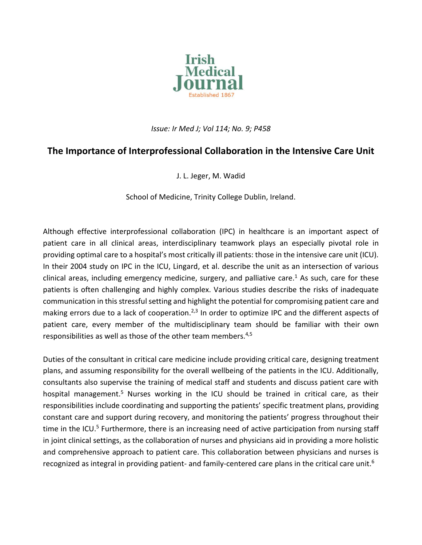

## *Issue: Ir Med J; Vol 114; No. 9; P458*

## **The Importance of Interprofessional Collaboration in the Intensive Care Unit**

J. L. Jeger, M. Wadid

School of Medicine, Trinity College Dublin, Ireland.

Although effective interprofessional collaboration (IPC) in healthcare is an important aspect of patient care in all clinical areas, interdisciplinary teamwork plays an especially pivotal role in providing optimal care to a hospital's most critically ill patients: those in the intensive care unit (ICU). In their 2004 study on IPC in the ICU, Lingard, et al. describe the unit as an intersection of various clinical areas, including emergency medicine, surgery, and palliative care.<sup>1</sup> As such, care for these patients is often challenging and highly complex. Various studies describe the risks of inadequate communication in this stressful setting and highlight the potential for compromising patient care and making errors due to a lack of cooperation.<sup>2,3</sup> In order to optimize IPC and the different aspects of patient care, every member of the multidisciplinary team should be familiar with their own responsibilities as well as those of the other team members.<sup>4,5</sup>

Duties of the consultant in critical care medicine include providing critical care, designing treatment plans, and assuming responsibility for the overall wellbeing of the patients in the ICU. Additionally, consultants also supervise the training of medical staff and students and discuss patient care with hospital management.<sup>5</sup> Nurses working in the ICU should be trained in critical care, as their responsibilities include coordinating and supporting the patients' specific treatment plans, providing constant care and support during recovery, and monitoring the patients' progress throughout their time in the ICU.<sup>5</sup> Furthermore, there is an increasing need of active participation from nursing staff in joint clinical settings, as the collaboration of nurses and physicians aid in providing a more holistic and comprehensive approach to patient care. This collaboration between physicians and nurses is recognized as integral in providing patient- and family-centered care plans in the critical care unit.<sup>6</sup>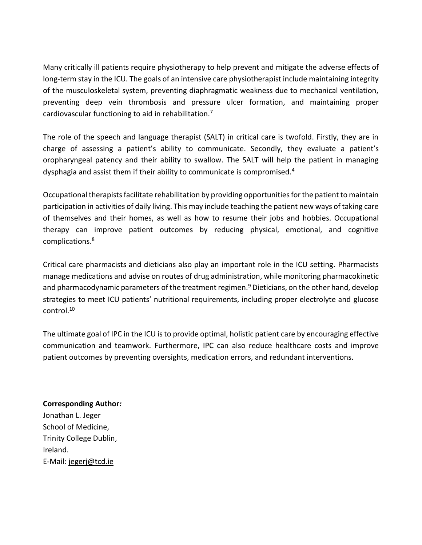Many critically ill patients require physiotherapy to help prevent and mitigate the adverse effects of long-term stay in the ICU. The goals of an intensive care physiotherapist include maintaining integrity of the musculoskeletal system, preventing diaphragmatic weakness due to mechanical ventilation, preventing deep vein thrombosis and pressure ulcer formation, and maintaining proper cardiovascular functioning to aid in rehabilitation.<sup>7</sup>

The role of the speech and language therapist (SALT) in critical care is twofold. Firstly, they are in charge of assessing a patient's ability to communicate. Secondly, they evaluate a patient's oropharyngeal patency and their ability to swallow. The SALT will help the patient in managing dysphagia and assist them if their ability to communicate is compromised.<sup>4</sup>

Occupational therapists facilitate rehabilitation by providing opportunities for the patient to maintain participation in activities of daily living. This may include teaching the patient new ways of taking care of themselves and their homes, as well as how to resume their jobs and hobbies. Occupational therapy can improve patient outcomes by reducing physical, emotional, and cognitive complications.<sup>8</sup>

Critical care pharmacists and dieticians also play an important role in the ICU setting. Pharmacists manage medications and advise on routes of drug administration, while monitoring pharmacokinetic and pharmacodynamic parameters of the treatment regimen.<sup>9</sup> Dieticians, on the other hand, develop strategies to meet ICU patients' nutritional requirements, including proper electrolyte and glucose control.<sup>10</sup>

The ultimate goal of IPC in the ICU isto provide optimal, holistic patient care by encouraging effective communication and teamwork. Furthermore, IPC can also reduce healthcare costs and improve patient outcomes by preventing oversights, medication errors, and redundant interventions.

**Corresponding Author***:* Jonathan L. Jeger School of Medicine, Trinity College Dublin, Ireland. E-Mail: [jegerj@tcd.ie](mailto:jegerj@tcd.ie)